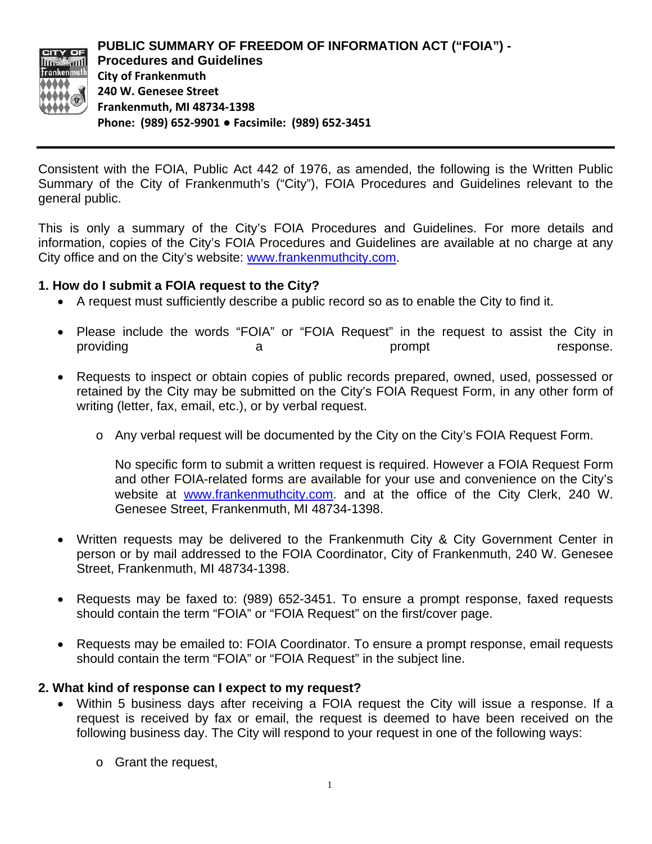

Consistent with the FOIA, Public Act 442 of 1976, as amended, the following is the Written Public Summary of the City of Frankenmuth's ("City"), FOIA Procedures and Guidelines relevant to the general public.

This is only a summary of the City's FOIA Procedures and Guidelines. For more details and information, copies of the City's FOIA Procedures and Guidelines are available at no charge at any City office and on the City's website: www.frankenmuthcity.com.

## **1. How do I submit a FOIA request to the City?**

- A request must sufficiently describe a public record so as to enable the City to find it.
- Please include the words "FOIA" or "FOIA Request" in the request to assist the City in providing a prompt response.
- Requests to inspect or obtain copies of public records prepared, owned, used, possessed or retained by the City may be submitted on the City's FOIA Request Form, in any other form of writing (letter, fax, email, etc.), or by verbal request.
	- o Any verbal request will be documented by the City on the City's FOIA Request Form.

No specific form to submit a written request is required. However a FOIA Request Form and other FOIA-related forms are available for your use and convenience on the City's website at www.frankenmuthcity.com. and at the office of the City Clerk, 240 W. Genesee Street, Frankenmuth, MI 48734-1398.

- Written requests may be delivered to the Frankenmuth City & City Government Center in person or by mail addressed to the FOIA Coordinator, City of Frankenmuth, 240 W. Genesee Street, Frankenmuth, MI 48734-1398.
- Requests may be faxed to: (989) 652-3451. To ensure a prompt response, faxed requests should contain the term "FOIA" or "FOIA Request" on the first/cover page.
- Requests may be emailed to: FOIA Coordinator. To ensure a prompt response, email requests should contain the term "FOIA" or "FOIA Request" in the subject line.

## **2. What kind of response can I expect to my request?**

- Within 5 business days after receiving a FOIA request the City will issue a response. If a request is received by fax or email, the request is deemed to have been received on the following business day. The City will respond to your request in one of the following ways:
	- o Grant the request,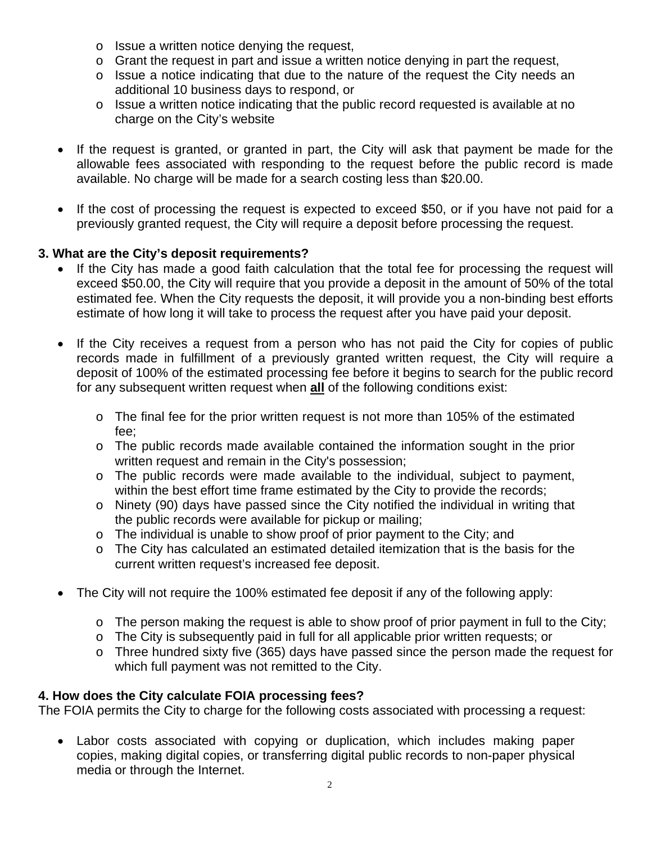- o Issue a written notice denying the request,
- o Grant the request in part and issue a written notice denying in part the request,
- o Issue a notice indicating that due to the nature of the request the City needs an additional 10 business days to respond, or
- o Issue a written notice indicating that the public record requested is available at no charge on the City's website
- If the request is granted, or granted in part, the City will ask that payment be made for the allowable fees associated with responding to the request before the public record is made available. No charge will be made for a search costing less than \$20.00.
- If the cost of processing the request is expected to exceed \$50, or if you have not paid for a previously granted request, the City will require a deposit before processing the request.

# **3. What are the City's deposit requirements?**

- If the City has made a good faith calculation that the total fee for processing the request will exceed \$50.00, the City will require that you provide a deposit in the amount of 50% of the total estimated fee. When the City requests the deposit, it will provide you a non-binding best efforts estimate of how long it will take to process the request after you have paid your deposit.
- If the City receives a request from a person who has not paid the City for copies of public records made in fulfillment of a previously granted written request, the City will require a deposit of 100% of the estimated processing fee before it begins to search for the public record for any subsequent written request when **all** of the following conditions exist:
	- $\circ$  The final fee for the prior written request is not more than 105% of the estimated fee;
	- $\circ$  The public records made available contained the information sought in the prior written request and remain in the City's possession;
	- $\circ$  The public records were made available to the individual, subject to payment, within the best effort time frame estimated by the City to provide the records;
	- $\circ$  Ninety (90) days have passed since the City notified the individual in writing that the public records were available for pickup or mailing;
	- o The individual is unable to show proof of prior payment to the City; and
	- o The City has calculated an estimated detailed itemization that is the basis for the current written request's increased fee deposit.
- The City will not require the 100% estimated fee deposit if any of the following apply:
	- $\circ$  The person making the request is able to show proof of prior payment in full to the City;
	- o The City is subsequently paid in full for all applicable prior written requests; or
	- o Three hundred sixty five (365) days have passed since the person made the request for which full payment was not remitted to the City.

## **4. How does the City calculate FOIA processing fees?**

The FOIA permits the City to charge for the following costs associated with processing a request:

 Labor costs associated with copying or duplication, which includes making paper copies, making digital copies, or transferring digital public records to non-paper physical media or through the Internet.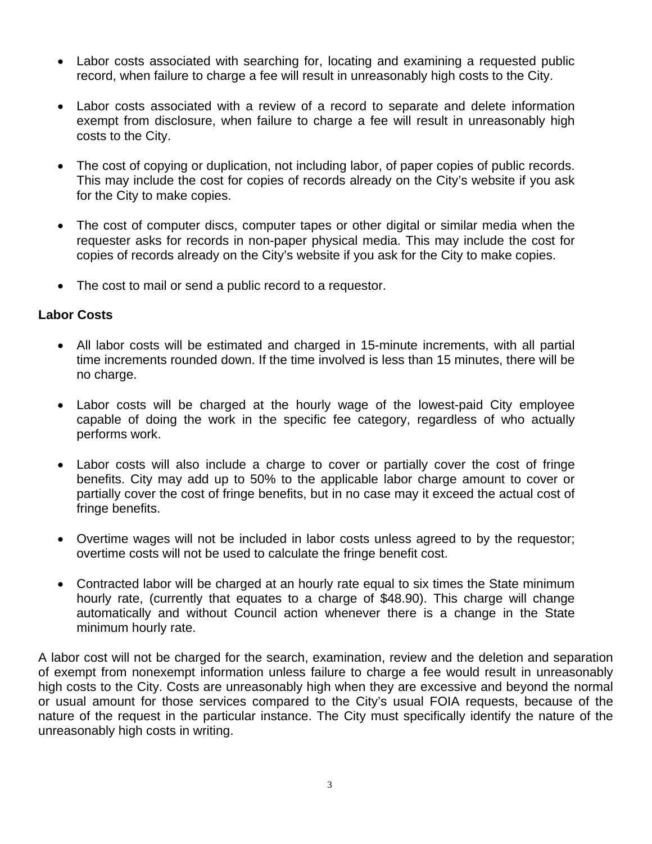- Labor costs associated with searching for, locating and examining a requested public record, when failure to charge a fee will result in unreasonably high costs to the City.
- Labor costs associated with a review of a record to separate and delete information exempt from disclosure, when failure to charge a fee will result in unreasonably high costs to the City.
- The cost of copying or duplication, not including labor, of paper copies of public records. This may include the cost for copies of records already on the City's website if you ask for the City to make copies.
- The cost of computer discs, computer tapes or other digital or similar media when the requester asks for records in non-paper physical media. This may include the cost for copies of records already on the City's website if you ask for the City to make copies.
- The cost to mail or send a public record to a requestor.

### **Labor Costs**

- All labor costs will be estimated and charged in 15-minute increments, with all partial time increments rounded down. If the time involved is less than 15 minutes, there will be no charge.
- Labor costs will be charged at the hourly wage of the lowest-paid City employee capable of doing the work in the specific fee category, regardless of who actually performs work.
- Labor costs will also include a charge to cover or partially cover the cost of fringe benefits. City may add up to 50% to the applicable labor charge amount to cover or partially cover the cost of fringe benefits, but in no case may it exceed the actual cost of fringe benefits.
- Overtime wages will not be included in labor costs unless agreed to by the requestor; overtime costs will not be used to calculate the fringe benefit cost.
- Contracted labor will be charged at an hourly rate equal to six times the State minimum hourly rate, (currently that equates to a charge of \$48.90). This charge will change automatically and without Council action whenever there is a change in the State minimum hourly rate.

A labor cost will not be charged for the search, examination, review and the deletion and separation of exempt from nonexempt information unless failure to charge a fee would result in unreasonably high costs to the City. Costs are unreasonably high when they are excessive and beyond the normal or usual amount for those services compared to the City's usual FOIA requests, because of the nature of the request in the particular instance. The City must specifically identify the nature of the unreasonably high costs in writing.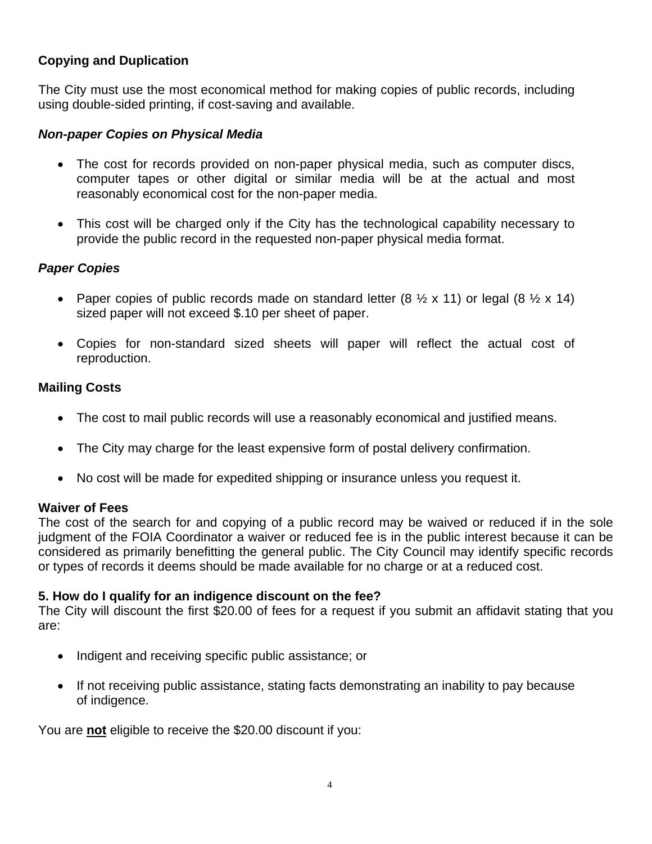## **Copying and Duplication**

The City must use the most economical method for making copies of public records, including using double-sided printing, if cost-saving and available.

#### *Non-paper Copies on Physical Media*

- The cost for records provided on non-paper physical media, such as computer discs, computer tapes or other digital or similar media will be at the actual and most reasonably economical cost for the non-paper media.
- This cost will be charged only if the City has the technological capability necessary to provide the public record in the requested non-paper physical media format.

### *Paper Copies*

- Paper copies of public records made on standard letter  $(8 \frac{1}{2} \times 11)$  or legal  $(8 \frac{1}{2} \times 14)$ sized paper will not exceed \$.10 per sheet of paper.
- Copies for non-standard sized sheets will paper will reflect the actual cost of reproduction.

### **Mailing Costs**

- The cost to mail public records will use a reasonably economical and justified means.
- The City may charge for the least expensive form of postal delivery confirmation.
- No cost will be made for expedited shipping or insurance unless you request it.

#### **Waiver of Fees**

The cost of the search for and copying of a public record may be waived or reduced if in the sole judgment of the FOIA Coordinator a waiver or reduced fee is in the public interest because it can be considered as primarily benefitting the general public. The City Council may identify specific records or types of records it deems should be made available for no charge or at a reduced cost.

#### **5. How do I qualify for an indigence discount on the fee?**

The City will discount the first \$20.00 of fees for a request if you submit an affidavit stating that you are:

- Indigent and receiving specific public assistance; or
- If not receiving public assistance, stating facts demonstrating an inability to pay because of indigence.

You are **not** eligible to receive the \$20.00 discount if you: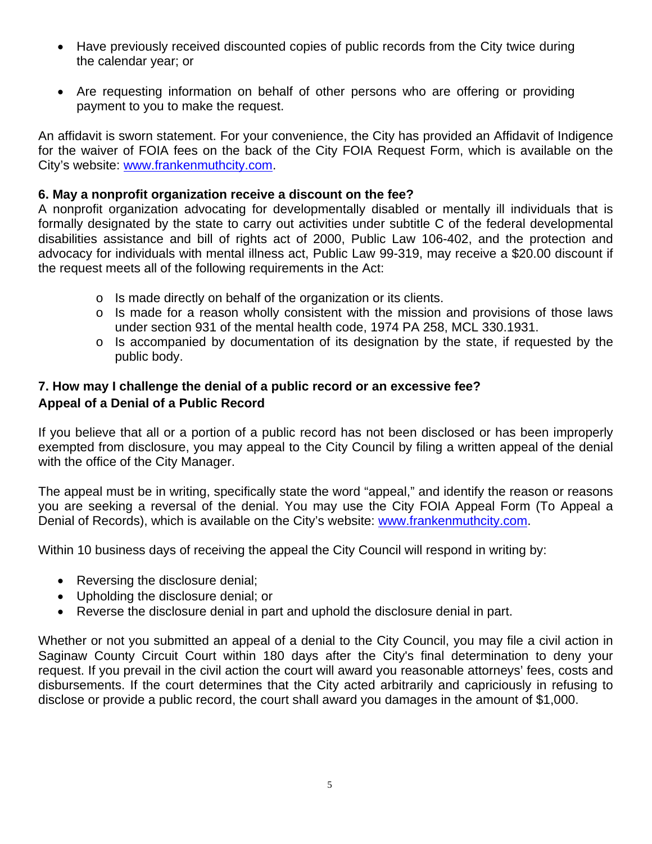- Have previously received discounted copies of public records from the City twice during the calendar year; or
- Are requesting information on behalf of other persons who are offering or providing payment to you to make the request.

An affidavit is sworn statement. For your convenience, the City has provided an Affidavit of Indigence for the waiver of FOIA fees on the back of the City FOIA Request Form, which is available on the City's website: www.frankenmuthcity.com.

### **6. May a nonprofit organization receive a discount on the fee?**

A nonprofit organization advocating for developmentally disabled or mentally ill individuals that is formally designated by the state to carry out activities under subtitle C of the federal developmental disabilities assistance and bill of rights act of 2000, Public Law 106-402, and the protection and advocacy for individuals with mental illness act, Public Law 99-319, may receive a \$20.00 discount if the request meets all of the following requirements in the Act:

- o Is made directly on behalf of the organization or its clients.
- $\circ$  Is made for a reason wholly consistent with the mission and provisions of those laws under section 931 of the mental health code, 1974 PA 258, MCL 330.1931.
- o Is accompanied by documentation of its designation by the state, if requested by the public body.

## **7. How may I challenge the denial of a public record or an excessive fee? Appeal of a Denial of a Public Record**

If you believe that all or a portion of a public record has not been disclosed or has been improperly exempted from disclosure, you may appeal to the City Council by filing a written appeal of the denial with the office of the City Manager.

The appeal must be in writing, specifically state the word "appeal," and identify the reason or reasons you are seeking a reversal of the denial. You may use the City FOIA Appeal Form (To Appeal a Denial of Records), which is available on the City's website: www.frankenmuthcity.com.

Within 10 business days of receiving the appeal the City Council will respond in writing by:

- Reversing the disclosure denial;
- Upholding the disclosure denial; or
- Reverse the disclosure denial in part and uphold the disclosure denial in part.

Whether or not you submitted an appeal of a denial to the City Council, you may file a civil action in Saginaw County Circuit Court within 180 days after the City's final determination to deny your request. If you prevail in the civil action the court will award you reasonable attorneys' fees, costs and disbursements. If the court determines that the City acted arbitrarily and capriciously in refusing to disclose or provide a public record, the court shall award you damages in the amount of \$1,000.